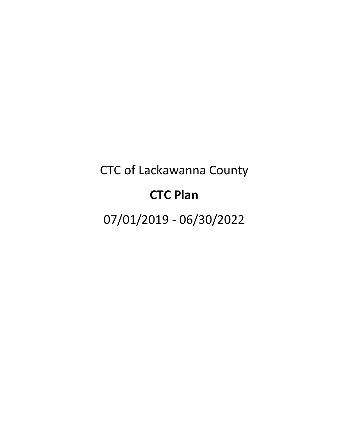# CTC of Lackawanna County

# **CTC Plan**

07/01/2019 - 06/30/2022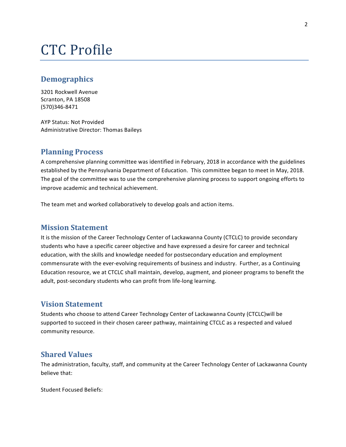# CTC Profile

# **Demographics**

3201 Rockwell Avenue Scranton, PA 18508 (570)346-8471

AYP Status: Not Provided Administrative Director: Thomas Baileys

# **Planning Process**

A comprehensive planning committee was identified in February, 2018 in accordance with the guidelines established by the Pennsylvania Department of Education. This committee began to meet in May, 2018. The goal of the committee was to use the comprehensive planning process to support ongoing efforts to improve academic and technical achievement.

The team met and worked collaboratively to develop goals and action items.

# **Mission Statement**

It is the mission of the Career Technology Center of Lackawanna County (CTCLC) to provide secondary students who have a specific career objective and have expressed a desire for career and technical education, with the skills and knowledge needed for postsecondary education and employment commensurate with the ever-evolving requirements of business and industry. Further, as a Continuing Education resource, we at CTCLC shall maintain, develop, augment, and pioneer programs to benefit the adult, post-secondary students who can profit from life-long learning.

# **Vision Statement**

Students who choose to attend Career Technology Center of Lackawanna County (CTCLC)will be supported to succeed in their chosen career pathway, maintaining CTCLC as a respected and valued community resource.

# **Shared Values**

The administration, faculty, staff, and community at the Career Technology Center of Lackawanna County believe that:

Student Focused Beliefs: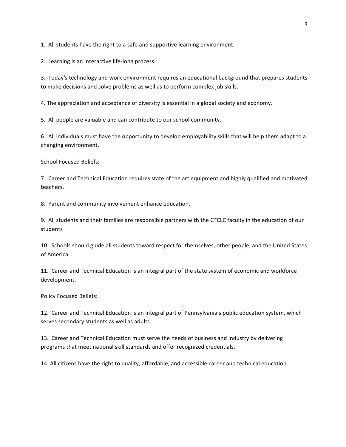1. All students have the right to a safe and supportive learning environment.

2. Learning is an interactive life-long process.

3. Today's technology and work environment requires an educational background that prepares students to make decisions and solve problems as well as to perform complex job skills.

4. The appreciation and acceptance of diversity is essential in a global society and economy.

5. All people are valuable and can contribute to our school community.

6. All individuals must have the opportunity to develop employability skills that will help them adapt to a changing environment.

School Focused Beliefs:

7. Career and Technical Education requires state of the art equipment and highly qualified and motivated teachers.

8. Parent and community involvement enhance education.

9. All students and their families are responsible partners with the CTCLC faculty in the education of our students

10. Schools should guide all students toward respect for themselves, other people, and the United States of America.

11. Career and Technical Education is an integral part of the state system of economic and workforce development.

Policy Focused Beliefs:

12. Career and Technical Education is an integral part of Pennsylvania's public education system, which serves secondary students as well as adults.

13. Career and Technical Education must serve the needs of business and industry by delivering programs that meet national skill standards and offer recognized credentials.

14. All citizens have the right to quality, affordable, and accessible career and technical education.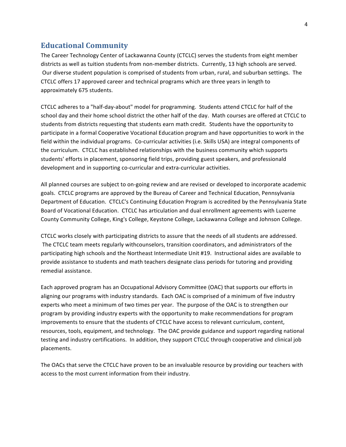# **Educational Community**

The Career Technology Center of Lackawanna County (CTCLC) serves the students from eight member districts as well as tuition students from non-member districts. Currently, 13 high schools are served. Our diverse student population is comprised of students from urban, rural, and suburban settings. The CTCLC offers 17 approved career and technical programs which are three years in length to approximately 675 students.

CTCLC adheres to a "half-day-about" model for programming. Students attend CTCLC for half of the school day and their home school district the other half of the day. Math courses are offered at CTCLC to students from districts requesting that students earn math credit. Students have the opportunity to participate in a formal Cooperative Vocational Education program and have opportunities to work in the field within the individual programs. Co-curricular activities (i.e. Skills USA) are integral components of the curriculum. CTCLC has established relationships with the business community which supports students' efforts in placement, sponsoring field trips, providing guest speakers, and professionald development and in supporting co-curricular and extra-curricular activities.

All planned courses are subject to on-going review and are revised or developed to incorporate academic goals. CTCLC programs are approved by the Bureau of Career and Technical Education, Pennsylvania Department of Education. CTCLC's Continuing Education Program is accredited by the Pennsylvania State Board of Vocational Education. CTCLC has articulation and dual enrollment agreements with Luzerne County Community College, King's College, Keystone College, Lackawanna College and Johnson College.

CTCLC works closely with participating districts to assure that the needs of all students are addressed. The CTCLC team meets regularly withcounselors, transition coordinators, and administrators of the participating high schools and the Northeast Intermediate Unit #19. Instructional aides are available to provide assistance to students and math teachers designate class periods for tutoring and providing remedial assistance.

Each approved program has an Occupational Advisory Committee (OAC) that supports our efforts in aligning our programs with industry standards. Each OAC is comprised of a minimum of five industry experts who meet a minimum of two times per year. The purpose of the OAC is to strengthen our program by providing industry experts with the opportunity to make recommendations for program improvements to ensure that the students of CTCLC have access to relevant curriculum, content, resources, tools, equipment, and technology. The OAC provide guidance and support regarding national testing and industry certifications. In addition, they support CTCLC through cooperative and clinical job placements.

The OACs that serve the CTCLC have proven to be an invaluable resource by providing our teachers with access to the most current information from their industry.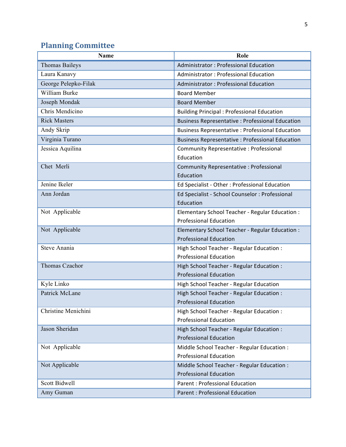# **Planning Committee**

| <b>Thomas Baileys</b><br>Administrator: Professional Education<br>Laura Kanavy<br><b>Administrator: Professional Education</b><br>George Pelepko-Filak<br><b>Administrator: Professional Education</b><br>William Burke<br><b>Board Member</b><br>Joseph Mondak<br><b>Board Member</b><br>Chris Mendicino<br><b>Building Principal: Professional Education</b><br><b>Rick Masters</b><br><b>Business Representative : Professional Education</b><br>Andy Skrip<br><b>Business Representative : Professional Education</b><br>Virginia Turano<br><b>Business Representative : Professional Education</b><br>Jessica Aquilina<br>Community Representative: Professional<br>Education<br>Chet Merli<br>Community Representative : Professional<br>Education | Name | Role |
|----------------------------------------------------------------------------------------------------------------------------------------------------------------------------------------------------------------------------------------------------------------------------------------------------------------------------------------------------------------------------------------------------------------------------------------------------------------------------------------------------------------------------------------------------------------------------------------------------------------------------------------------------------------------------------------------------------------------------------------------------------|------|------|
|                                                                                                                                                                                                                                                                                                                                                                                                                                                                                                                                                                                                                                                                                                                                                          |      |      |
|                                                                                                                                                                                                                                                                                                                                                                                                                                                                                                                                                                                                                                                                                                                                                          |      |      |
|                                                                                                                                                                                                                                                                                                                                                                                                                                                                                                                                                                                                                                                                                                                                                          |      |      |
|                                                                                                                                                                                                                                                                                                                                                                                                                                                                                                                                                                                                                                                                                                                                                          |      |      |
|                                                                                                                                                                                                                                                                                                                                                                                                                                                                                                                                                                                                                                                                                                                                                          |      |      |
|                                                                                                                                                                                                                                                                                                                                                                                                                                                                                                                                                                                                                                                                                                                                                          |      |      |
|                                                                                                                                                                                                                                                                                                                                                                                                                                                                                                                                                                                                                                                                                                                                                          |      |      |
|                                                                                                                                                                                                                                                                                                                                                                                                                                                                                                                                                                                                                                                                                                                                                          |      |      |
|                                                                                                                                                                                                                                                                                                                                                                                                                                                                                                                                                                                                                                                                                                                                                          |      |      |
|                                                                                                                                                                                                                                                                                                                                                                                                                                                                                                                                                                                                                                                                                                                                                          |      |      |
|                                                                                                                                                                                                                                                                                                                                                                                                                                                                                                                                                                                                                                                                                                                                                          |      |      |
|                                                                                                                                                                                                                                                                                                                                                                                                                                                                                                                                                                                                                                                                                                                                                          |      |      |
|                                                                                                                                                                                                                                                                                                                                                                                                                                                                                                                                                                                                                                                                                                                                                          |      |      |
| Jenine Ikeler<br>Ed Specialist - Other: Professional Education                                                                                                                                                                                                                                                                                                                                                                                                                                                                                                                                                                                                                                                                                           |      |      |
| Ann Jordan<br>Ed Specialist - School Counselor : Professional                                                                                                                                                                                                                                                                                                                                                                                                                                                                                                                                                                                                                                                                                            |      |      |
| Education                                                                                                                                                                                                                                                                                                                                                                                                                                                                                                                                                                                                                                                                                                                                                |      |      |
| Not Applicable<br>Elementary School Teacher - Regular Education :                                                                                                                                                                                                                                                                                                                                                                                                                                                                                                                                                                                                                                                                                        |      |      |
| <b>Professional Education</b>                                                                                                                                                                                                                                                                                                                                                                                                                                                                                                                                                                                                                                                                                                                            |      |      |
| Not Applicable<br>Elementary School Teacher - Regular Education :                                                                                                                                                                                                                                                                                                                                                                                                                                                                                                                                                                                                                                                                                        |      |      |
| <b>Professional Education</b>                                                                                                                                                                                                                                                                                                                                                                                                                                                                                                                                                                                                                                                                                                                            |      |      |
| Steve Anania<br>High School Teacher - Regular Education :                                                                                                                                                                                                                                                                                                                                                                                                                                                                                                                                                                                                                                                                                                |      |      |
| <b>Professional Education</b>                                                                                                                                                                                                                                                                                                                                                                                                                                                                                                                                                                                                                                                                                                                            |      |      |
| Thomas Czachor<br>High School Teacher - Regular Education :                                                                                                                                                                                                                                                                                                                                                                                                                                                                                                                                                                                                                                                                                              |      |      |
| <b>Professional Education</b>                                                                                                                                                                                                                                                                                                                                                                                                                                                                                                                                                                                                                                                                                                                            |      |      |
| Kyle Linko<br>High School Teacher - Regular Education                                                                                                                                                                                                                                                                                                                                                                                                                                                                                                                                                                                                                                                                                                    |      |      |
| Patrick McLane<br>High School Teacher - Regular Education :                                                                                                                                                                                                                                                                                                                                                                                                                                                                                                                                                                                                                                                                                              |      |      |
| <b>Professional Education</b>                                                                                                                                                                                                                                                                                                                                                                                                                                                                                                                                                                                                                                                                                                                            |      |      |
| Christine Menichini<br>High School Teacher - Regular Education :<br><b>Professional Education</b>                                                                                                                                                                                                                                                                                                                                                                                                                                                                                                                                                                                                                                                        |      |      |
| Jason Sheridan                                                                                                                                                                                                                                                                                                                                                                                                                                                                                                                                                                                                                                                                                                                                           |      |      |
| High School Teacher - Regular Education :<br><b>Professional Education</b>                                                                                                                                                                                                                                                                                                                                                                                                                                                                                                                                                                                                                                                                               |      |      |
| Not Applicable                                                                                                                                                                                                                                                                                                                                                                                                                                                                                                                                                                                                                                                                                                                                           |      |      |
| Middle School Teacher - Regular Education :<br><b>Professional Education</b>                                                                                                                                                                                                                                                                                                                                                                                                                                                                                                                                                                                                                                                                             |      |      |
| Not Applicable<br>Middle School Teacher - Regular Education :                                                                                                                                                                                                                                                                                                                                                                                                                                                                                                                                                                                                                                                                                            |      |      |
| <b>Professional Education</b>                                                                                                                                                                                                                                                                                                                                                                                                                                                                                                                                                                                                                                                                                                                            |      |      |
| Scott Bidwell<br><b>Parent: Professional Education</b>                                                                                                                                                                                                                                                                                                                                                                                                                                                                                                                                                                                                                                                                                                   |      |      |
| Amy Guman<br><b>Parent: Professional Education</b>                                                                                                                                                                                                                                                                                                                                                                                                                                                                                                                                                                                                                                                                                                       |      |      |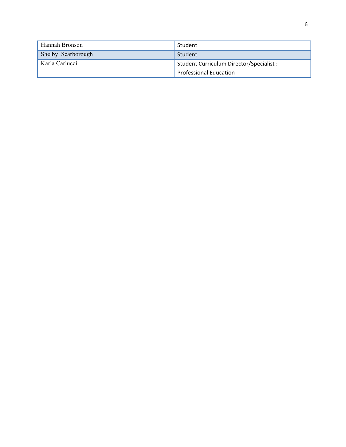| Hannah Bronson     | Student                                  |
|--------------------|------------------------------------------|
| Shelby Scarborough | Student                                  |
| Karla Carlucci     | Student Curriculum Director/Specialist : |
|                    | <b>Professional Education</b>            |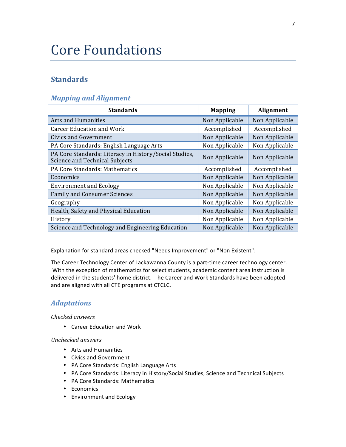# **Core Foundations**

# **Standards**

# *Mapping and Alignment*

| <b>Standards</b>                                                                         | <b>Mapping</b> | Alignment      |
|------------------------------------------------------------------------------------------|----------------|----------------|
| Arts and Humanities                                                                      | Non Applicable | Non Applicable |
| <b>Career Education and Work</b>                                                         | Accomplished   | Accomplished   |
| Civics and Government                                                                    | Non Applicable | Non Applicable |
| PA Core Standards: English Language Arts                                                 | Non Applicable | Non Applicable |
| PA Core Standards: Literacy in History/Social Studies,<br>Science and Technical Subjects | Non Applicable | Non Applicable |
| PA Core Standards: Mathematics                                                           | Accomplished   | Accomplished   |
| Economics                                                                                | Non Applicable | Non Applicable |
| <b>Environment and Ecology</b>                                                           | Non Applicable | Non Applicable |
| <b>Family and Consumer Sciences</b>                                                      | Non Applicable | Non Applicable |
| Geography                                                                                | Non Applicable | Non Applicable |
| Health, Safety and Physical Education                                                    | Non Applicable | Non Applicable |
| History                                                                                  | Non Applicable | Non Applicable |
| Science and Technology and Engineering Education                                         | Non Applicable | Non Applicable |

Explanation for standard areas checked "Needs Improvement" or "Non Existent":

The Career Technology Center of Lackawanna County is a part-time career technology center. With the exception of mathematics for select students, academic content area instruction is delivered in the students' home district. The Career and Work Standards have been adopted and are aligned with all CTE programs at CTCLC.

## *Adaptations*

*Checked answers*

• Career Education and Work

- Arts and Humanities
- Civics and Government
- PA Core Standards: English Language Arts
- PA Core Standards: Literacy in History/Social Studies, Science and Technical Subjects
- PA Core Standards: Mathematics
- Economics
- Environment and Ecology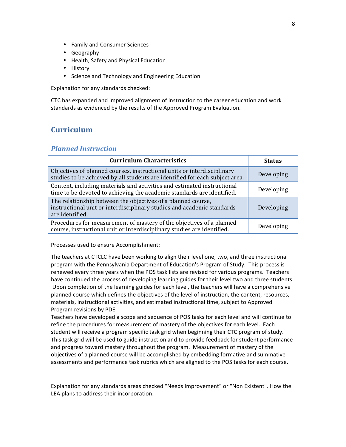- Family and Consumer Sciences
- Geography
- Health, Safety and Physical Education
- History
- Science and Technology and Engineering Education

Explanation for any standards checked:

CTC has expanded and improved alignment of instruction to the career education and work standards as evidenced by the results of the Approved Program Evaluation.

# **Curriculum**

## *Planned Instruction*

| <b>Curriculum Characteristics</b>                                                                                                                         | <b>Status</b> |
|-----------------------------------------------------------------------------------------------------------------------------------------------------------|---------------|
| Objectives of planned courses, instructional units or interdisciplinary<br>studies to be achieved by all students are identified for each subject area.   | Developing    |
| Content, including materials and activities and estimated instructional<br>time to be devoted to achieving the academic standards are identified.         | Developing    |
| The relationship between the objectives of a planned course,<br>instructional unit or interdisciplinary studies and academic standards<br>are identified. | Developing    |
| Procedures for measurement of mastery of the objectives of a planned<br>course, instructional unit or interdisciplinary studies are identified.           | Developing    |

Processes used to ensure Accomplishment:

The teachers at CTCLC have been working to align their level one, two, and three instructional program with the Pennsylvania Department of Education's Program of Study. This process is renewed every three years when the POS task lists are revised for various programs. Teachers have continued the process of developing learning guides for their level two and three students. Upon completion of the learning guides for each level, the teachers will have a comprehensive planned course which defines the objectives of the level of instruction, the content, resources, materials, instructional activities, and estimated instructional time, subject to Approved Program revisions by PDE.

Teachers have developed a scope and sequence of POS tasks for each level and will continue to refine the procedures for measurement of mastery of the objectives for each level. Each student will receive a program specific task grid when beginning their CTC program of study. This task grid will be used to guide instruction and to provide feedback for student performance and progress toward mastery throughout the program. Measurement of mastery of the objectives of a planned course will be accomplished by embedding formative and summative assessments and performance task rubrics which are aligned to the POS tasks for each course.

Explanation for any standards areas checked "Needs Improvement" or "Non Existent". How the LEA plans to address their incorporation: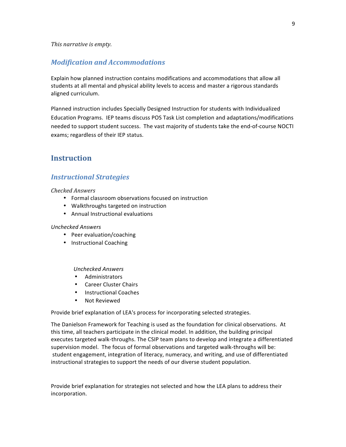## *Modification and Accommodations*

Explain how planned instruction contains modifications and accommodations that allow all students at all mental and physical ability levels to access and master a rigorous standards aligned curriculum.

Planned instruction includes Specially Designed Instruction for students with Individualized Education Programs. IEP teams discuss POS Task List completion and adaptations/modifications needed to support student success. The vast majority of students take the end-of-course NOCTI exams; regardless of their IEP status.

# **Instruction**

## *Instructional Strategies*

#### *Checked Answers*

- Formal classroom observations focused on instruction
- Walkthroughs targeted on instruction
- Annual Instructional evaluations

#### *Unchecked Answers*

- Peer evaluation/coaching
- Instructional Coaching

#### *Unchecked Answers*

- Administrators
- Career Cluster Chairs
- Instructional Coaches
- Not Reviewed

Provide brief explanation of LEA's process for incorporating selected strategies.

The Danielson Framework for Teaching is used as the foundation for clinical observations. At this time, all teachers participate in the clinical model. In addition, the building principal executes targeted walk-throughs. The CSIP team plans to develop and integrate a differentiated supervision model. The focus of formal observations and targeted walk-throughs will be: student engagement, integration of literacy, numeracy, and writing, and use of differentiated instructional strategies to support the needs of our diverse student population.

Provide brief explanation for strategies not selected and how the LEA plans to address their incorporation.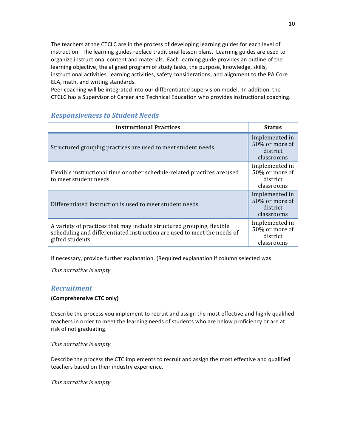The teachers at the CTCLC are in the process of developing learning guides for each level of instruction. The learning guides replace traditional lesson plans. Learning guides are used to organize instructional content and materials. Each learning guide provides an outline of the learning objective, the aligned program of study tasks, the purpose, knowledge, skills, instructional activities, learning activities, safety considerations, and alignment to the PA Core ELA, math, and writing standards.

Peer coaching will be integrated into our differentiated supervision model. In addition, the CTCLC has a Supervisor of Career and Technical Education who provides instructional coaching.

# *Responsiveness to Student Needs*

| <b>Instructional Practices</b>                                                                                                                                       | <b>Status</b>                                              |
|----------------------------------------------------------------------------------------------------------------------------------------------------------------------|------------------------------------------------------------|
| Structured grouping practices are used to meet student needs.                                                                                                        | Implemented in<br>50% or more of<br>district<br>classrooms |
| Flexible instructional time or other schedule-related practices are used<br>to meet student needs.                                                                   | Implemented in<br>50% or more of<br>district<br>classrooms |
| Differentiated instruction is used to meet student needs.                                                                                                            | Implemented in<br>50% or more of<br>district<br>classrooms |
| A variety of practices that may include structured grouping, flexible<br>scheduling and differentiated instruction are used to meet the needs of<br>gifted students. | Implemented in<br>50% or more of<br>district<br>classrooms |

If necessary, provide further explanation. (Required explanation if column selected was

This narrative is empty.

## *Recruitment*

#### **(Comprehensive CTC only)**

Describe the process you implement to recruit and assign the most effective and highly qualified teachers in order to meet the learning needs of students who are below proficiency or are at risk of not graduating.

This narrative is empty.

Describe the process the CTC implements to recruit and assign the most effective and qualified teachers based on their industry experience.

*This narrative is empty.*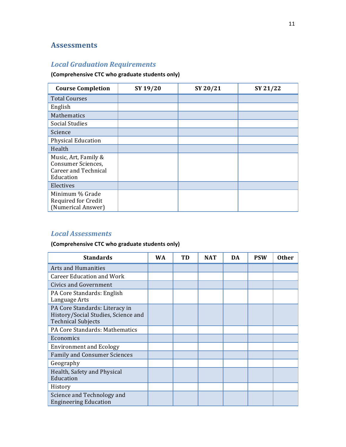# **Assessments**

# *Local Graduation Requirements*

# **(Comprehensive CTC who graduate students only)**

| <b>Course Completion</b>                                                               | SY 19/20 | SY 20/21 | SY 21/22 |
|----------------------------------------------------------------------------------------|----------|----------|----------|
| <b>Total Courses</b>                                                                   |          |          |          |
| English                                                                                |          |          |          |
| Mathematics                                                                            |          |          |          |
| <b>Social Studies</b>                                                                  |          |          |          |
| Science                                                                                |          |          |          |
| Physical Education                                                                     |          |          |          |
| Health                                                                                 |          |          |          |
| Music, Art, Family &<br>Consumer Sciences,<br><b>Career and Technical</b><br>Education |          |          |          |
| Electives                                                                              |          |          |          |
| Minimum % Grade<br>Required for Credit<br>(Numerical Answer)                           |          |          |          |

# *Local Assessments*

# **(Comprehensive CTC who graduate students only)**

| <b>Standards</b>                                                                                   | <b>WA</b> | TD | <b>NAT</b> | DA | <b>PSW</b> | <b>Other</b> |
|----------------------------------------------------------------------------------------------------|-----------|----|------------|----|------------|--------------|
| Arts and Humanities                                                                                |           |    |            |    |            |              |
| Career Education and Work                                                                          |           |    |            |    |            |              |
| Civics and Government                                                                              |           |    |            |    |            |              |
| PA Core Standards: English<br>Language Arts                                                        |           |    |            |    |            |              |
| PA Core Standards: Literacy in<br>History/Social Studies, Science and<br><b>Technical Subjects</b> |           |    |            |    |            |              |
| PA Core Standards: Mathematics                                                                     |           |    |            |    |            |              |
| Economics                                                                                          |           |    |            |    |            |              |
| <b>Environment and Ecology</b>                                                                     |           |    |            |    |            |              |
| <b>Family and Consumer Sciences</b>                                                                |           |    |            |    |            |              |
| Geography                                                                                          |           |    |            |    |            |              |
| Health, Safety and Physical<br>Education                                                           |           |    |            |    |            |              |
| History                                                                                            |           |    |            |    |            |              |
| Science and Technology and<br><b>Engineering Education</b>                                         |           |    |            |    |            |              |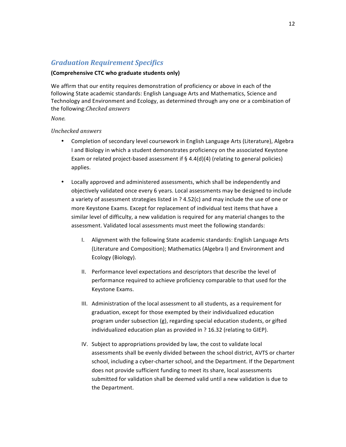# *Graduation Requirement Specifics*

#### **(Comprehensive CTC who graduate students only)**

We affirm that our entity requires demonstration of proficiency or above in each of the following State academic standards: English Language Arts and Mathematics, Science and Technology and Environment and Ecology, as determined through any one or a combination of the following:*Checked answers*

*None.*

- Completion of secondary level coursework in English Language Arts (Literature), Algebra I and Biology in which a student demonstrates proficiency on the associated Keystone Exam or related project-based assessment if  $\S$  4.4(d)(4) (relating to general policies) applies.
- Locally approved and administered assessments, which shall be independently and objectively validated once every 6 years. Local assessments may be designed to include a variety of assessment strategies listed in  $?$  4.52(c) and may include the use of one or more Keystone Exams. Except for replacement of individual test items that have a similar level of difficulty, a new validation is required for any material changes to the assessment. Validated local assessments must meet the following standards:
	- I. Alignment with the following State academic standards: English Language Arts (Literature and Composition); Mathematics (Algebra I) and Environment and Ecology (Biology).
	- II. Performance level expectations and descriptors that describe the level of performance required to achieve proficiency comparable to that used for the Keystone Exams.
	- III. Administration of the local assessment to all students, as a requirement for graduation, except for those exempted by their individualized education program under subsection (g), regarding special education students, or gifted individualized education plan as provided in ? 16.32 (relating to GIEP).
	- IV. Subject to appropriations provided by law, the cost to validate local assessments shall be evenly divided between the school district, AVTS or charter school, including a cyber-charter school, and the Department. If the Department does not provide sufficient funding to meet its share, local assessments submitted for validation shall be deemed valid until a new validation is due to the Department.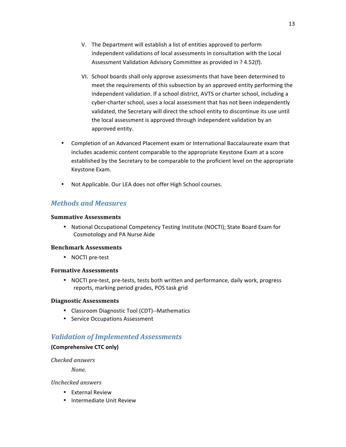- V. The Department will establish a list of entities approved to perform independent validations of local assessments in consultation with the Local Assessment Validation Advisory Committee as provided in ? 4.52(f).
- VI. School boards shall only approve assessments that have been determined to meet the requirements of this subsection by an approved entity performing the independent validation. If a school district, AVTS or charter school, including a cyber-charter school, uses a local assessment that has not been independently validated, the Secretary will direct the school entity to discontinue its use until the local assessment is approved through independent validation by an approved entity.
- Completion of an Advanced Placement exam or International Baccalaureate exam that includes academic content comparable to the appropriate Keystone Exam at a score established by the Secretary to be comparable to the proficient level on the appropriate Keystone Exam.
- Not Applicable. Our LEA does not offer High School courses.

# *Methods and Measures*

#### **Summative Assessments**

• National Occupational Competency Testing Institute (NOCTI); State Board Exam for Cosmotology and PA Nurse Aide

## **Benchmark Assessments**

• NOCTI pre-test

## **Formative Assessments**

• NOCTI pre-test, pre-tests, tests both written and performance, daily work, progress reports, marking period grades, POS task grid

## **Diagnostic Assessments**

- Classroom Diagnostic Tool (CDT)--Mathematics
- Service Occupations Assessment

# *Validation of Implemented Assessments*

#### **(Comprehensive CTC only)**

*Checked answers*

*None.*

- External Review
- Intermediate Unit Review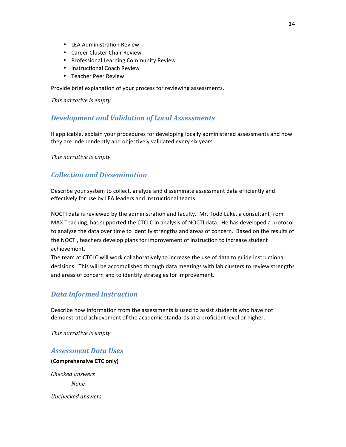- LEA Administration Review
- Career Cluster Chair Review
- Professional Learning Community Review
- Instructional Coach Review
- Teacher Peer Review

Provide brief explanation of your process for reviewing assessments.

*This narrative is empty.* 

## **Development and Validation of Local Assessments**

If applicable, explain your procedures for developing locally administered assessments and how they are independently and objectively validated every six years.

*This* narrative is empty.

## *Collection and Dissemination*

Describe your system to collect, analyze and disseminate assessment data efficiently and effectively for use by LEA leaders and instructional teams.

NOCTI data is reviewed by the administration and faculty. Mr. Todd Luke, a consultant from MAX Teaching, has supported the CTCLC in analysis of NOCTI data. He has developed a protocol to analyze the data over time to identify strengths and areas of concern. Based on the results of the NOCTI, teachers develop plans for improvement of instruction to increase student achievement.

The team at CTCLC will work collaboratively to increase the use of data to guide instructional decisions. This will be accomplished through data meetings with lab clusters to review strengths and areas of concern and to identify strategies for improvement.

# *Data Informed Instruction*

Describe how information from the assessments is used to assist students who have not demonstrated achievement of the academic standards at a proficient level or higher.

This narrative is empty.

## *Assessment Data Uses*

**(Comprehensive CTC only)**

*Checked answers None.*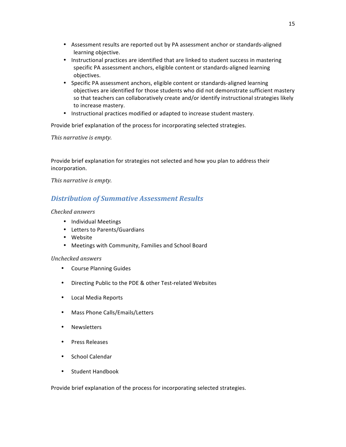- Assessment results are reported out by PA assessment anchor or standards-aligned learning objective.
- Instructional practices are identified that are linked to student success in mastering specific PA assessment anchors, eligible content or standards-aligned learning objectives.
- Specific PA assessment anchors, eligible content or standards-aligned learning objectives are identified for those students who did not demonstrate sufficient mastery so that teachers can collaboratively create and/or identify instructional strategies likely to increase mastery.
- Instructional practices modified or adapted to increase student mastery.

Provide brief explanation of the process for incorporating selected strategies.

*This narrative is empty.* 

Provide brief explanation for strategies not selected and how you plan to address their incorporation.

*This narrative is empty.* 

## *Distribution of Summative Assessment Results*

#### *Checked answers*

- Individual Meetings
- Letters to Parents/Guardians
- Website
- Meetings with Community, Families and School Board

#### *Unchecked answers*

- Course Planning Guides
- Directing Public to the PDE & other Test-related Websites
- Local Media Reports
- Mass Phone Calls/Emails/Letters
- Newsletters
- Press Releases
- School Calendar
- Student Handbook

Provide brief explanation of the process for incorporating selected strategies.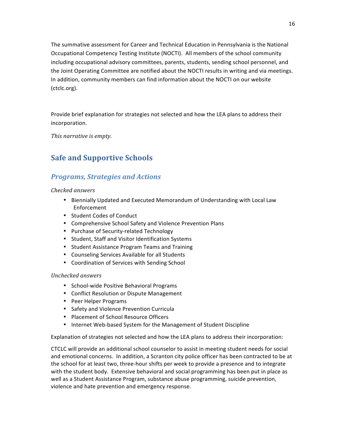The summative assessment for Career and Technical Education in Pennsylvania is the National Occupational Competency Testing Institute (NOCTI). All members of the school community including occupational advisory committees, parents, students, sending school personnel, and the Joint Operating Committee are notified about the NOCTI results in writing and via meetings. In addition, community members can find information about the NOCTI on our website (ctclc.org).

Provide brief explanation for strategies not selected and how the LEA plans to address their incorporation.

This narrative is empty.

# **Safe and Supportive Schools**

# **Programs, Strategies and Actions**

#### *Checked answers*

- Biennially Updated and Executed Memorandum of Understanding with Local Law Enforcement
- Student Codes of Conduct
- Comprehensive School Safety and Violence Prevention Plans
- Purchase of Security-related Technology
- Student, Staff and Visitor Identification Systems
- Student Assistance Program Teams and Training
- Counseling Services Available for all Students
- Coordination of Services with Sending School

## *Unchecked answers*

- School-wide Positive Behavioral Programs
- Conflict Resolution or Dispute Management
- Peer Helper Programs
- Safety and Violence Prevention Curricula
- Placement of School Resource Officers
- Internet Web-based System for the Management of Student Discipline

Explanation of strategies not selected and how the LEA plans to address their incorporation:

CTCLC will provide an additional school counselor to assist in meeting student needs for social and emotional concerns. In addition, a Scranton city police officer has been contracted to be at the school for at least two, three-hour shifts per week to provide a presence and to integrate with the student body. Extensive behavioral and social programming has been put in place as well as a Student Assistance Program, substance abuse programming, suicide prevention, violence and hate prevention and emergency response.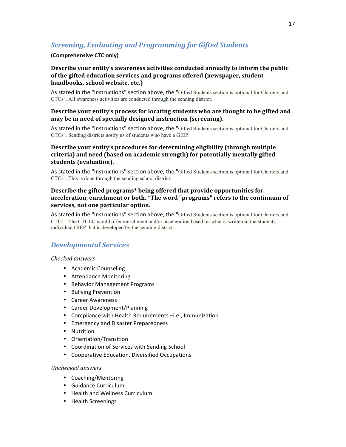# **Screening, Evaluating and Programming for Gifted Students**

#### **(Comprehensive CTC only)**

## **Describe your entity's awareness activities conducted annually to inform the public** of the gifted education services and programs offered (newspaper, student handbooks, school website, etc.)

As stated in the "Instructions" section above, the "Gifted Students section is optional for Charters and CTCs". All awareness activities are conducted through the sending district.

#### **Describe your entity's process for locating students who are thought to be gifted and** may be in need of specially designed instruction (screening).

As stated in the "Instructions" section above, the "Gifted Students section is optional for Charters and CTCs". Sending districts notify us of students who have a GIEP.

## **Describe your entity's procedures for determining eligibility (through multiple** criteria) and need (based on academic strength) for potentially mentally gifted students (evaluation).

As stated in the "Instructions" section above, the "Gifted Students section is optional for Charters and CTCs". This is done through the sending school district.

## **Describe the gifted programs\* being offered that provide opportunities for** acceleration, enrichment or both. \*The word "programs" refers to the continuum of services, not one particular option.

As stated in the "Instructions" section above, the "Gifted Students section is optional for Charters and CTCs". The CTCLC would offer enrichment and/or acceleration based on what is written in the student's individual GIEP that is developed by the sending district.

# *Developmental Services*

#### *Checked answers*

- Academic Counseling
- Attendance Monitoring
- Behavior Management Programs
- Bullying Prevention
- Career Awareness
- Career Development/Planning
- Compliance with Health Requirements -i.e., Immunization
- Emergency and Disaster Preparedness
- Nutrition
- Orientation/Transition
- Coordination of Services with Sending School
- Cooperative Education, Diversified Occupations

- Coaching/Mentoring
- Guidance Curriculum
- Health and Wellness Curriculum
- Health Screenings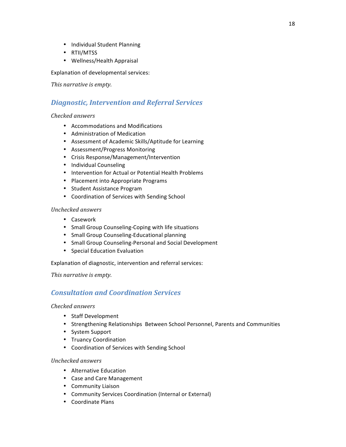- Individual Student Planning
- RTII/MTSS
- Wellness/Health Appraisal

Explanation of developmental services:

This narrative is empty.

# *Diagnostic, Intervention and Referral Services*

## *Checked answers*

- Accommodations and Modifications
- Administration of Medication
- Assessment of Academic Skills/Aptitude for Learning
- Assessment/Progress Monitoring
- Crisis Response/Management/Intervention
- Individual Counseling
- Intervention for Actual or Potential Health Problems
- Placement into Appropriate Programs
- Student Assistance Program
- Coordination of Services with Sending School

## *Unchecked answers*

- Casework
- Small Group Counseling-Coping with life situations
- Small Group Counseling-Educational planning
- Small Group Counseling-Personal and Social Development
- Special Education Evaluation

Explanation of diagnostic, intervention and referral services:

This narrative is empty.

# *Consultation and Coordination Services*

## *Checked answers*

- Staff Development
- Strengthening Relationships Between School Personnel, Parents and Communities
- System Support
- Truancy Coordination
- Coordination of Services with Sending School

- Alternative Education
- Case and Care Management
- Community Liaison
- Community Services Coordination (Internal or External)
- Coordinate Plans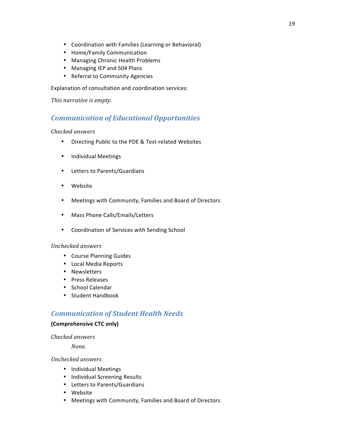- Coordination with Families (Learning or Behavioral)
- Home/Family Communication
- Managing Chronic Health Problems
- Managing IEP and 504 Plans
- Referral to Community Agencies

Explanation of consultation and coordination services:

This narrative is empty.

## *Communication of Educational Opportunities*

#### *Checked answers*

- Directing Public to the PDE & Test-related Websites
- Individual Meetings
- Letters to Parents/Guardians
- Website
- Meetings with Community, Families and Board of Directors
- Mass Phone Calls/Emails/Letters
- Coordination of Services with Sending School

#### *Unchecked answers*

- Course Planning Guides
- Local Media Reports
- Newsletters
- Press Releases
- School Calendar
- Student Handbook

# *Communication of Student Health Needs*

#### **(Comprehensive CTC only)**

#### *Checked answers*

*None.*

- Individual Meetings
- Individual Screening Results
- Letters to Parents/Guardians
- Website
- Meetings with Community, Families and Board of Directors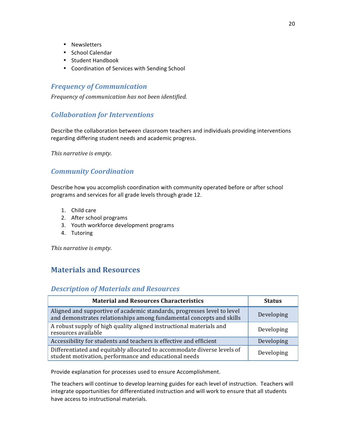- Newsletters
- School Calendar
- Student Handbook
- Coordination of Services with Sending School

# *Frequency of Communication*

*Frequency of communication has not been identified.*

# *Collaboration for Interventions*

Describe the collaboration between classroom teachers and individuals providing interventions regarding differing student needs and academic progress.

This narrative is empty.

# *Community Coordination*

Describe how you accomplish coordination with community operated before or after school programs and services for all grade levels through grade 12.

- 1. Child care
- 2. After school programs
- 3. Youth workforce development programs
- 4. Tutoring

This narrative is empty.

# **Materials and Resources**

## *Description of Materials and Resources*

| <b>Material and Resources Characteristics</b>                                                                                                   | <b>Status</b> |
|-------------------------------------------------------------------------------------------------------------------------------------------------|---------------|
| Aligned and supportive of academic standards, progresses level to level<br>and demonstrates relationships among fundamental concepts and skills | Developing    |
| A robust supply of high quality aligned instructional materials and<br>resources available                                                      | Developing    |
| Accessibility for students and teachers is effective and efficient                                                                              | Developing    |
| Differentiated and equitably allocated to accommodate diverse levels of<br>student motivation, performance and educational needs                | Developing    |

Provide explanation for processes used to ensure Accomplishment.

The teachers will continue to develop learning guides for each level of instruction. Teachers will integrate opportunities for differentiated instruction and will work to ensure that all students have access to instructional materials.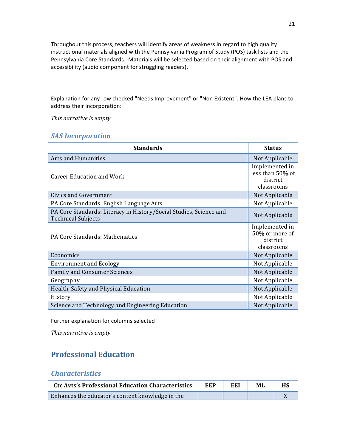Throughout this process, teachers will identify areas of weakness in regard to high quality instructional materials aligned with the Pennsylvania Program of Study (POS) task lists and the Pennsylvania Core Standards. Materials will be selected based on their alignment with POS and accessibility (audio component for struggling readers).

Explanation for any row checked "Needs Improvement" or "Non Existent". How the LEA plans to address their incorporation:

This narrative is empty.

# **SAS** Incorporation

| <b>Standards</b>                                                                                | <b>Status</b>                                                |
|-------------------------------------------------------------------------------------------------|--------------------------------------------------------------|
| Arts and Humanities                                                                             | Not Applicable                                               |
| <b>Career Education and Work</b>                                                                | Implemented in<br>less than 50% of<br>district<br>classrooms |
| <b>Civics and Government</b>                                                                    | Not Applicable                                               |
| PA Core Standards: English Language Arts                                                        | Not Applicable                                               |
| PA Core Standards: Literacy in History/Social Studies, Science and<br><b>Technical Subjects</b> | Not Applicable                                               |
| PA Core Standards: Mathematics                                                                  | Implemented in<br>50% or more of<br>district<br>classrooms   |
| Economics                                                                                       | Not Applicable                                               |
| <b>Environment and Ecology</b>                                                                  | Not Applicable                                               |
| <b>Family and Consumer Sciences</b>                                                             | Not Applicable                                               |
| Geography                                                                                       | Not Applicable                                               |
| Health, Safety and Physical Education                                                           | Not Applicable                                               |
| History                                                                                         | Not Applicable                                               |
| Science and Technology and Engineering Education                                                | Not Applicable                                               |

Further explanation for columns selected "

This narrative is empty.

# **Professional Education**

# *Characteristics*

| <b>Ctc Avts's Professional Education Characteristics</b> | EEP | EEI | ML | <b>HS</b> |
|----------------------------------------------------------|-----|-----|----|-----------|
| Enhances the educator's content knowledge in the         |     |     |    |           |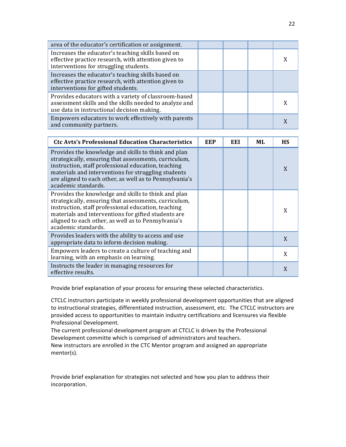| area of the educator's certification or assignment.                                                                                                          |  |  |
|--------------------------------------------------------------------------------------------------------------------------------------------------------------|--|--|
| Increases the educator's teaching skills based on<br>effective practice research, with attention given to<br>interventions for struggling students.          |  |  |
| Increases the educator's teaching skills based on<br>effective practice research, with attention given to<br>interventions for gifted students.              |  |  |
| Provides educators with a variety of classroom-based<br>assessment skills and the skills needed to analyze and<br>use data in instructional decision making. |  |  |
| Empowers educators to work effectively with parents<br>and community partners.                                                                               |  |  |

| <b>Ctc Avts's Professional Education Characteristics</b>                                                                                                                                                                                                                                                     | <b>EEP</b> | EEI | MI. | <b>HS</b> |
|--------------------------------------------------------------------------------------------------------------------------------------------------------------------------------------------------------------------------------------------------------------------------------------------------------------|------------|-----|-----|-----------|
| Provides the knowledge and skills to think and plan<br>strategically, ensuring that assessments, curriculum,<br>instruction, staff professional education, teaching<br>materials and interventions for struggling students<br>are aligned to each other, as well as to Pennsylvania's<br>academic standards. |            |     |     | X         |
| Provides the knowledge and skills to think and plan<br>strategically, ensuring that assessments, curriculum,<br>instruction, staff professional education, teaching<br>materials and interventions for gifted students are<br>aligned to each other, as well as to Pennsylvania's<br>academic standards.     |            |     |     | X         |
| Provides leaders with the ability to access and use<br>appropriate data to inform decision making.                                                                                                                                                                                                           |            |     |     | X         |
| Empowers leaders to create a culture of teaching and<br>learning, with an emphasis on learning.                                                                                                                                                                                                              |            |     |     | X         |
| Instructs the leader in managing resources for<br>effective results.                                                                                                                                                                                                                                         |            |     |     | X         |

Provide brief explanation of your process for ensuring these selected characteristics.

CTCLC instructors participate in weekly professional development opportunities that are aligned to instructional strategies, differentiated instruction, assessment, etc. The CTCLC instructors are provided access to opportunities to maintain industry certifications and licensures via flexible Professional Development.

The current professional development program at CTCLC is driven by the Professional Development committe which is comprised of administrators and teachers.

New instructors are enrolled in the CTC Mentor program and assigned an appropriate mentor(s).

Provide brief explanation for strategies not selected and how you plan to address their incorporation.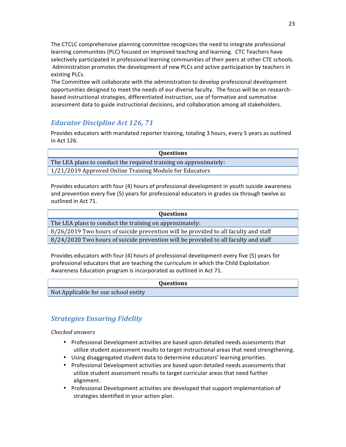The CTCLC comprehensive planning committee recognizes the need to integrate professional learning communities (PLC) focused on improved teaching and learning. CTC Teachers have selectively participated in professional learning communities of their peers at other CTE schools. Administration promotes the development of new PLCs and active participation by teachers in existing PLCs.

The Committee will collaborate with the administration to develop professional development opportunities designed to meet the needs of our diverse faculty. The focus will be on researchbased instructional strategies, differentiated instruction, use of formative and summative assessment data to guide instructional decisions, and collaboration among all stakeholders.

## *Educator Discipline Act 126, 71*

Provides educators with mandated reporter training, totaling 3 hours, every 5 years as outlined in Act 126.

| <b>Ouestions</b>                                                 |
|------------------------------------------------------------------|
| The LEA plans to conduct the required training on approximately: |
| 1/21/2019 Approved Online Training Module for Educators          |

Provides educators with four (4) hours of professional development in youth suicide awareness and prevention every five (5) years for professional educators in grades six through twelve as outlined in Act 71.

| <b>Questions</b>                                                                    |
|-------------------------------------------------------------------------------------|
| The LEA plans to conduct the training on approximately:                             |
| 8/26/2019 Two hours of suicide prevention will be provided to all faculty and staff |
| 8/24/2020 Two hours of suicide prevention will be provided to all faculty and staff |

Provides educators with four (4) hours of professional development every five (5) years for professional educators that are teaching the curriculum in which the Child Exploitation Awareness Education program is incorporated as outlined in Act 71.

|                                      | <b>Questions</b> |
|--------------------------------------|------------------|
| Not Applicable for our school entity |                  |

# *Strategies Ensuring Fidelity*

#### *Checked answers*

- Professional Development activities are based upon detailed needs assessments that utilize student assessment results to target instructional areas that need strengthening.
- Using disaggregated student data to determine educators' learning priorities.
- Professional Development activities are based upon detailed needs assessments that utilize student assessment results to target curricular areas that need further alignment.
- Professional Development activities are developed that support implementation of strategies identified in your action plan.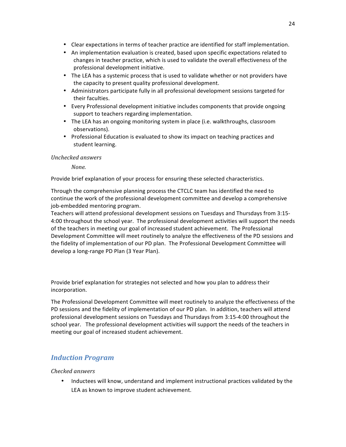- Clear expectations in terms of teacher practice are identified for staff implementation.
- An implementation evaluation is created, based upon specific expectations related to changes in teacher practice, which is used to validate the overall effectiveness of the professional development initiative.
- The LEA has a systemic process that is used to validate whether or not providers have the capacity to present quality professional development.
- Administrators participate fully in all professional development sessions targeted for their faculties.
- Every Professional development initiative includes components that provide ongoing support to teachers regarding implementation.
- The LEA has an ongoing monitoring system in place (i.e. walkthroughs, classroom observations).
- Professional Education is evaluated to show its impact on teaching practices and student learning.

*None.*

Provide brief explanation of your process for ensuring these selected characteristics.

Through the comprehensive planning process the CTCLC team has identified the need to continue the work of the professional development committee and develop a comprehensive job-embedded mentoring program.

Teachers will attend professional development sessions on Tuesdays and Thursdays from 3:15-4:00 throughout the school year. The professional development activities will support the needs of the teachers in meeting our goal of increased student achievement. The Professional Development Committee will meet routinely to analyze the effectiveness of the PD sessions and the fidelity of implementation of our PD plan. The Professional Development Committee will develop a long-range PD Plan (3 Year Plan).

Provide brief explanation for strategies not selected and how you plan to address their incorporation.

The Professional Development Committee will meet routinely to analyze the effectiveness of the PD sessions and the fidelity of implementation of our PD plan. In addition, teachers will attend professional development sessions on Tuesdays and Thursdays from 3:15-4:00 throughout the school year. The professional development activities will support the needs of the teachers in meeting our goal of increased student achievement.

# *Induction Program*

## *Checked answers*

• Inductees will know, understand and implement instructional practices validated by the LEA as known to improve student achievement.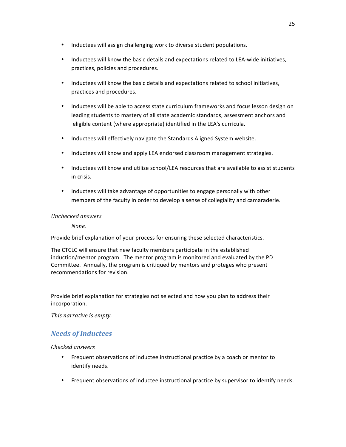- Inductees will assign challenging work to diverse student populations.
- Inductees will know the basic details and expectations related to LEA-wide initiatives, practices, policies and procedures.
- Inductees will know the basic details and expectations related to school initiatives, practices and procedures.
- Inductees will be able to access state curriculum frameworks and focus lesson design on leading students to mastery of all state academic standards, assessment anchors and eligible content (where appropriate) identified in the LEA's curricula.
- Inductees will effectively navigate the Standards Aligned System website.
- Inductees will know and apply LEA endorsed classroom management strategies.
- Inductees will know and utilize school/LEA resources that are available to assist students in crisis.
- Inductees will take advantage of opportunities to engage personally with other members of the faculty in order to develop a sense of collegiality and camaraderie.

*None.*

Provide brief explanation of your process for ensuring these selected characteristics.

The CTCLC will ensure that new faculty members participate in the established induction/mentor program. The mentor program is monitored and evaluated by the PD Committee. Annually, the program is critiqued by mentors and proteges who present recommendations for revision.

Provide brief explanation for strategies not selected and how you plan to address their incorporation.

*This narrative is empty.* 

# *Needs of Inductees*

*Checked answers*

- Frequent observations of inductee instructional practice by a coach or mentor to identify needs.
- Frequent observations of inductee instructional practice by supervisor to identify needs.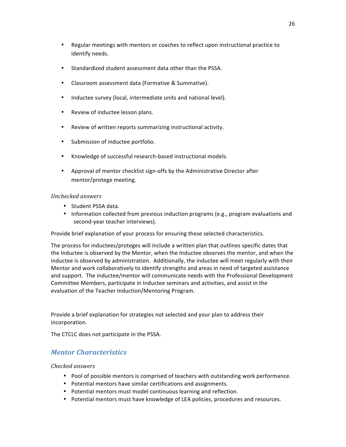- Regular meetings with mentors or coaches to reflect upon instructional practice to identify needs.
- Standardized student assessment data other than the PSSA.
- Classroom assessment data (Formative & Summative).
- Inductee survey (local, intermediate units and national level).
- Review of inductee lesson plans.
- Review of written reports summarizing instructional activity.
- Submission of inductee portfolio.
- Knowledge of successful research-based instructional models.
- Approval of mentor checklist sign-offs by the Administrative Director after mentor/protege meeting.

- Student PSSA data.
- Information collected from previous induction programs (e.g., program evaluations and second-year teacher interviews).

Provide brief explanation of your process for ensuring these selected characteristics.

The process for inductees/proteges will include a written plan that outlines specific dates that the Inductee is observed by the Mentor, when the Inductee observes the mentor, and when the inductee is observed by administration. Additionally, the inductee will meet regularly with their Mentor and work collaboratively to identify strengths and areas in need of targeted assistance and support. The inductee/mentor will communicate needs with the Professional Development Committee Members, participate in Inductee seminars and activities, and assist in the evaluation of the Teacher Induction/Mentoring Program.

Provide a brief explanation for strategies not selected and your plan to address their incorporation.

The CTCLC does not participate in the PSSA.

# *Mentor Characteristics*

#### *Checked answers*

- Pool of possible mentors is comprised of teachers with outstanding work performance.
- Potential mentors have similar certifications and assignments.
- Potential mentors must model continuous learning and reflection.
- Potential mentors must have knowledge of LEA policies, procedures and resources.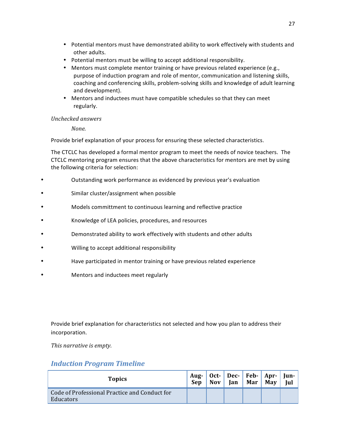- Potential mentors must have demonstrated ability to work effectively with students and other adults.
- Potential mentors must be willing to accept additional responsibility.
- Mentors must complete mentor training or have previous related experience (e.g., purpose of induction program and role of mentor, communication and listening skills, coaching and conferencing skills, problem-solving skills and knowledge of adult learning and development).
- Mentors and inductees must have compatible schedules so that they can meet regularly.

*None.*

Provide brief explanation of your process for ensuring these selected characteristics.

The CTCLC has developed a formal mentor program to meet the needs of novice teachers. The CTCLC mentoring program ensures that the above characteristics for mentors are met by using the following criteria for selection:

- Outstanding work performance as evidenced by previous year's evaluation
- Similar cluster/assignment when possible
- Models committment to continuous learning and reflective practice
- Knowledge of LEA policies, procedures, and resources
- Demonstrated ability to work effectively with students and other adults
- Willing to accept additional responsibility
- Have participated in mentor training or have previous related experience
- Mentors and inductees meet regularly

Provide brief explanation for characteristics not selected and how you plan to address their incorporation.

*This narrative is empty.* 

# *Induction Program Timeline*

| <b>Topics</b>                                              | Sep | Nov | Aug-   Oct-   Dec-   Feb-   Apr-   Jun-<br>Jan | Mar   May | <b>Iul</b> |
|------------------------------------------------------------|-----|-----|------------------------------------------------|-----------|------------|
| Code of Professional Practice and Conduct for<br>Educators |     |     |                                                |           |            |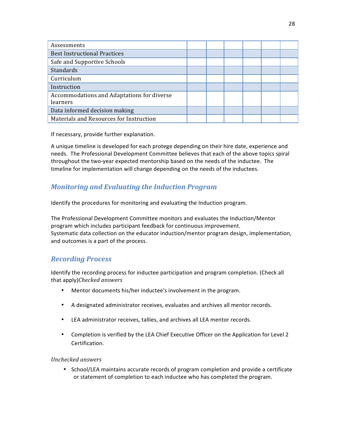| Assessments                                            |  |  |  |
|--------------------------------------------------------|--|--|--|
| <b>Best Instructional Practices</b>                    |  |  |  |
| Safe and Supportive Schools                            |  |  |  |
| Standards                                              |  |  |  |
| Curriculum                                             |  |  |  |
| Instruction                                            |  |  |  |
| Accommodations and Adaptations for diverse<br>learners |  |  |  |
| Data informed decision making                          |  |  |  |
| Materials and Resources for Instruction                |  |  |  |

If necessary, provide further explanation.

A unique timeline is developed for each protege depending on their hire date, experience and needs. The Professional Development Committee believes that each of the above topics spiral throughout the two-year expected mentorship based on the needs of the inductee. The timeline for implementation will change depending on the needs of the inductees.

# *Monitoring and Evaluating the Induction Program*

Identify the procedures for monitoring and evaluating the Induction program.

The Professional Development Committee monitors and evaluates the Induction/Mentor program which includes participant feedback for continuous improvement. Systematic data collection on the educator induction/mentor program design, implementation, and outcomes is a part of the process.

# *Recording Process*

Identify the recording process for inductee participation and program completion. (Check all that apply)*Checked answers*

- Mentor documents his/her inductee's involvement in the program.
- A designated administrator receives, evaluates and archives all mentor records.
- LEA administrator receives, tallies, and archives all LEA mentor records.
- Completion is verified by the LEA Chief Executive Officer on the Application for Level 2 Certification.

*Unchecked answers*

• School/LEA maintains accurate records of program completion and provide a certificate or statement of completion to each inductee who has completed the program.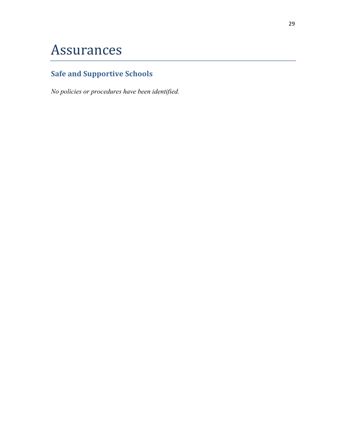# Assurances

# **Safe and Supportive Schools**

*No policies or procedures have been identified.*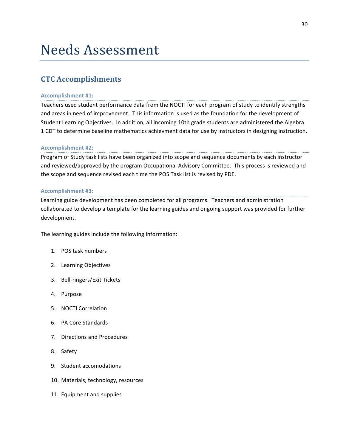# Needs Assessment

# **CTC Accomplishments**

#### **Accomplishment #1:**

Teachers used student performance data from the NOCTI for each program of study to identify strengths and areas in need of improvement. This information is used as the foundation for the development of Student Learning Objectives. In addition, all incoming 10th grade students are administered the Algebra 1 CDT to determine baseline mathematics achievment data for use by instructors in designing instruction.

#### **Accomplishment #2:**

Program of Study task lists have been organized into scope and sequence documents by each instructor and reviewed/approved by the program Occupational Advisory Committee. This process is reviewed and the scope and sequence revised each time the POS Task list is revised by PDE.

#### **Accomplishment #3:**

Learning guide development has been completed for all programs. Teachers and administration collaborated to develop a template for the learning guides and ongoing support was provided for further development.

The learning guides include the following information:

- 1. POS task numbers
- 2. Learning Objectives
- 3. Bell-ringers/Exit Tickets
- 4. Purpose
- 5. NOCTI Correlation
- 6. PA Core Standards
- 7. Directions and Procedures
- 8. Safety
- 9. Student accomodations
- 10. Materials, technology, resources
- 11. Equipment and supplies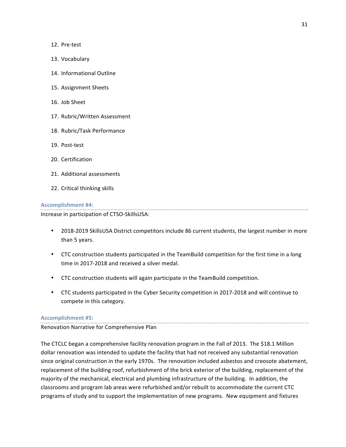12. Pre-test

- 13. Vocabulary
- 14. Informational Outline
- 15. Assignment Sheets
- 16. Job Sheet
- 17. Rubric/Written Assessment
- 18. Rubric/Task Performance
- 19. Post-test
- 20. Certification
- 21. Additional assessments
- 22. Critical thinking skills

#### **Accomplishment #4:**

Increase in participation of CTSO-SkillsUSA:

• 2018-2019 SkillsUSA District competitors include 86 current students, the largest number in more than 5 years.

- CTC construction students participated in the TeamBuild competition for the first time in a long time in 2017-2018 and received a silver medal.
- CTC construction students will again participate in the TeamBuild competition.
- CTC students participated in the Cyber Security competition in 2017-2018 and will continue to compete in this category.

#### **Accomplishment #5:**

Renovation Narrative for Comprehensive Plan

The CTCLC began a comprehensive facility renovation program in the Fall of 2013. The \$18.1 Million dollar renovation was intended to update the facility that had not received any substantial renovation since original construction in the early 1970s. The renovation included asbestos and creosote abatement, replacement of the building roof, refurbishment of the brick exterior of the building, replacement of the majority of the mechanical, electrical and plumbing infrastructure of the building. In addition, the classrooms and program lab areas were refurbished and/or rebuilt to accommodate the current CTC programs of study and to support the implementation of new programs. New equipment and fixtures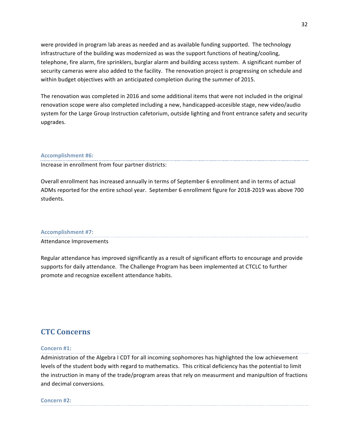were provided in program lab areas as needed and as available funding supported. The technology infrastructure of the building was modernized as was the support functions of heating/cooling, telephone, fire alarm, fire sprinklers, burglar alarm and building access system. A significant number of security cameras were also added to the facility. The renovation project is progressing on schedule and within budget objectives with an anticipated completion during the summer of 2015.

The renovation was completed in 2016 and some additional items that were not included in the original renovation scope were also completed including a new, handicapped-accesible stage, new video/audio system for the Large Group Instruction cafetorium, outside lighting and front entrance safety and security upgrades.

#### **Accomplishment #6:**

Increase in enrollment from four partner districts:

Overall enrollment has increased annually in terms of September 6 enrollment and in terms of actual ADMs reported for the entire school year. September 6 enrollment figure for 2018-2019 was above 700 students.

#### **Accomplishment #7:**

Attendance Improvements

Regular attendance has improved significantly as a result of significant efforts to encourage and provide supports for daily attendance. The Challenge Program has been implemented at CTCLC to further promote and recognize excellent attendance habits.

# **CTC Concerns**

#### **Concern #1:**

Administration of the Algebra I CDT for all incoming sophomores has highlighted the low achievement levels of the student body with regard to mathematics. This critical deficiency has the potential to limit the instruction in many of the trade/program areas that rely on measurment and manipultion of fractions and decimal conversions.

#### **Concern #2:**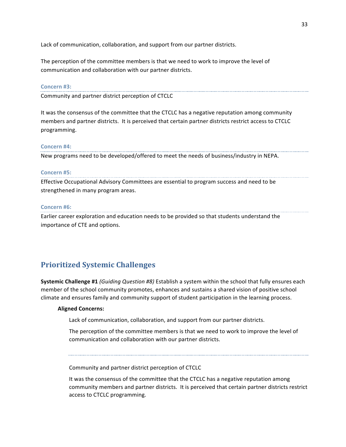Lack of communication, collaboration, and support from our partner districts.

The perception of the committee members is that we need to work to improve the level of communication and collaboration with our partner districts.

#### **Concern #3:**

Community and partner district perception of CTCLC

It was the consensus of the committee that the CTCLC has a negative reputation among community members and partner districts. It is perceived that certain partner districts restrict access to CTCLC programming.

#### **Concern #4:**

New programs need to be developed/offered to meet the needs of business/industry in NEPA.

#### **Concern #5:**

Effective Occupational Advisory Committees are essential to program success and need to be strengthened in many program areas.

#### **Concern #6:**

Earlier career exploration and education needs to be provided so that students understand the importance of CTE and options.

# **Prioritized Systemic Challenges**

**Systemic Challenge #1** *(Guiding Question #8)* Establish a system within the school that fully ensures each member of the school community promotes, enhances and sustains a shared vision of positive school climate and ensures family and community support of student participation in the learning process.

#### **Aligned Concerns:**

Lack of communication, collaboration, and support from our partner districts.

The perception of the committee members is that we need to work to improve the level of communication and collaboration with our partner districts.

Community and partner district perception of CTCLC

It was the consensus of the committee that the CTCLC has a negative reputation among community members and partner districts. It is perceived that certain partner districts restrict access to CTCLC programming.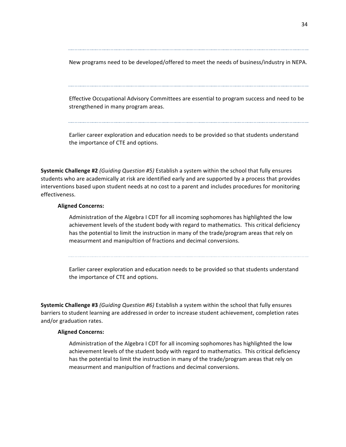New programs need to be developed/offered to meet the needs of business/industry in NEPA.

Effective Occupational Advisory Committees are essential to program success and need to be strengthened in many program areas.

Earlier career exploration and education needs to be provided so that students understand the importance of CTE and options.

**Systemic Challenge #2** *(Guiding Question #5)* Establish a system within the school that fully ensures students who are academically at risk are identified early and are supported by a process that provides interventions based upon student needs at no cost to a parent and includes procedures for monitoring effectiveness.

#### **Aligned Concerns:**

Administration of the Algebra I CDT for all incoming sophomores has highlighted the low achievement levels of the student body with regard to mathematics. This critical deficiency has the potential to limit the instruction in many of the trade/program areas that rely on measurment and manipultion of fractions and decimal conversions.

Earlier career exploration and education needs to be provided so that students understand the importance of CTE and options.

**Systemic Challenge #3** *(Guiding Question #6)* Establish a system within the school that fully ensures barriers to student learning are addressed in order to increase student achievement, completion rates and/or graduation rates.

#### **Aligned Concerns:**

Administration of the Algebra I CDT for all incoming sophomores has highlighted the low achievement levels of the student body with regard to mathematics. This critical deficiency has the potential to limit the instruction in many of the trade/program areas that rely on measurment and manipultion of fractions and decimal conversions.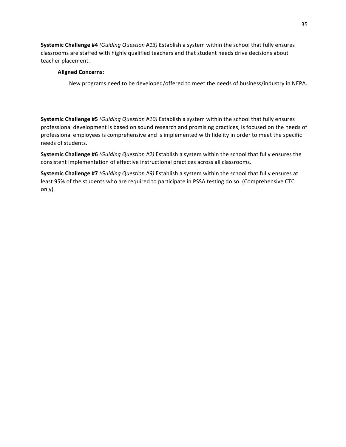**Systemic Challenge #4** *(Guiding Question #13)* Establish a system within the school that fully ensures classrooms are staffed with highly qualified teachers and that student needs drive decisions about teacher placement.

## **Aligned Concerns:**

New programs need to be developed/offered to meet the needs of business/industry in NEPA.

**Systemic Challenge #5** *(Guiding Question #10)* Establish a system within the school that fully ensures professional development is based on sound research and promising practices, is focused on the needs of professional employees is comprehensive and is implemented with fidelity in order to meet the specific needs of students.

**Systemic Challenge #6** *(Guiding Question #2)* Establish a system within the school that fully ensures the consistent implementation of effective instructional practices across all classrooms.

**Systemic Challenge #7** *(Guiding Question #9)* Establish a system within the school that fully ensures at least 95% of the students who are required to participate in PSSA testing do so. (Comprehensive CTC only)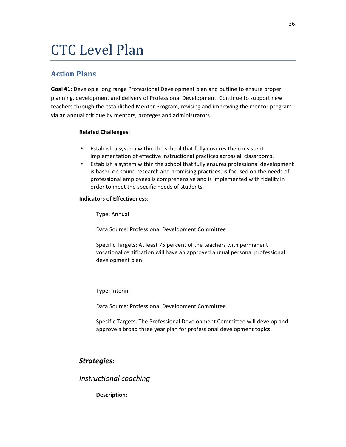# **CTC** Level Plan

# **Action Plans**

Goal #1: Develop a long range Professional Development plan and outline to ensure proper planning, development and delivery of Professional Development. Continue to support new teachers through the established Mentor Program, revising and improving the mentor program via an annual critique by mentors, proteges and administrators.

## **Related Challenges:**

- Establish a system within the school that fully ensures the consistent implementation of effective instructional practices across all classrooms.
- Establish a system within the school that fully ensures professional development is based on sound research and promising practices, is focused on the needs of professional employees is comprehensive and is implemented with fidelity in order to meet the specific needs of students.

## **Indicators of Effectiveness:**

Type: Annual

Data Source: Professional Development Committee

Specific Targets: At least 75 percent of the teachers with permanent vocational certification will have an approved annual personal professional development plan.

Type: Interim

Data Source: Professional Development Committee

Specific Targets: The Professional Development Committee will develop and approve a broad three year plan for professional development topics.

# *Strategies:*

*Instructional coaching*

Description: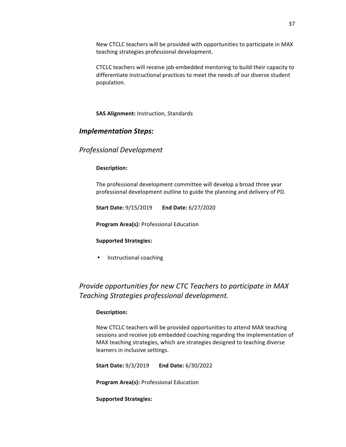New CTCLC teachers will be provided with opportunities to participate in MAX teaching strategies professional development.

CTCLC teachers will receive job-embedded mentoring to build their capacity to differentiate instructional practices to meet the needs of our diverse student population.

**SAS Alignment:** Instruction, Standards

## *Implementation Steps:*

# *Professional Development*

#### **Description:**

The professional development committee will develop a broad three year professional development outline to guide the planning and delivery of PD.

**Start Date:** 9/15/2019 End Date: 6/27/2020

**Program Area(s): Professional Education** 

#### **Supported Strategies:**

• Instructional coaching

# *Provide opportunities for new CTC Teachers to participate in MAX Teaching Strategies professional development.*

#### **Description:**

New CTCLC teachers will be provided opportunities to attend MAX teaching sessions and receive job embedded coaching regarding the implementation of MAX teaching strategies, which are strategies designed to teaching diverse learners in inclusive settings.

**Start Date:**  $9/3/2019$  **End Date:**  $6/30/2022$ 

**Program Area(s): Professional Education** 

**Supported Strategies:**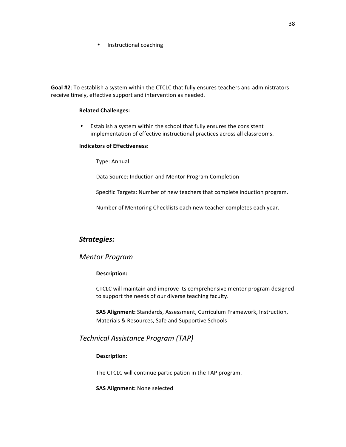• Instructional coaching

Goal #2: To establish a system within the CTCLC that fully ensures teachers and administrators receive timely, effective support and intervention as needed.

#### **Related Challenges:**

• Establish a system within the school that fully ensures the consistent implementation of effective instructional practices across all classrooms.

#### **Indicators of Effectiveness:**

Type: Annual

Data Source: Induction and Mentor Program Completion

Specific Targets: Number of new teachers that complete induction program.

Number of Mentoring Checklists each new teacher completes each year.

# *Strategies:*

## *Mentor Program*

## **Description:**

CTCLC will maintain and improve its comprehensive mentor program designed to support the needs of our diverse teaching faculty.

**SAS Alignment:** Standards, Assessment, Curriculum Framework, Instruction, Materials & Resources, Safe and Supportive Schools

# *Technical Assistance Program (TAP)*

## **Description:**

The CTCLC will continue participation in the TAP program.

**SAS Alignment:** None selected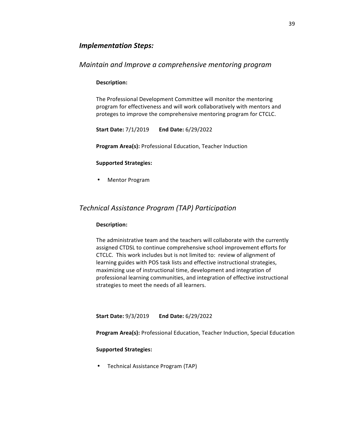## *Implementation Steps:*

## *Maintain and Improve a comprehensive mentoring program*

#### **Description:**

The Professional Development Committee will monitor the mentoring program for effectiveness and will work collaboratively with mentors and proteges to improve the comprehensive mentoring program for CTCLC.

**Start Date:** 7/1/2019 **End Date:** 6/29/2022

**Program Area(s): Professional Education, Teacher Induction** 

#### **Supported Strategies:**

• Mentor Program

## *Technical Assistance Program (TAP) Participation*

#### **Description:**

The administrative team and the teachers will collaborate with the currently assigned CTDSL to continue comprehensive school improvement efforts for CTCLC. This work includes but is not limited to: review of alignment of learning guides with POS task lists and effective instructional strategies, maximizing use of instructional time, development and integration of professional learning communities, and integration of effective instructional strategies to meet the needs of all learners.

**Start Date:** 9/3/2019 **End Date:** 6/29/2022

**Program Area(s):** Professional Education, Teacher Induction, Special Education

#### **Supported Strategies:**

• Technical Assistance Program (TAP)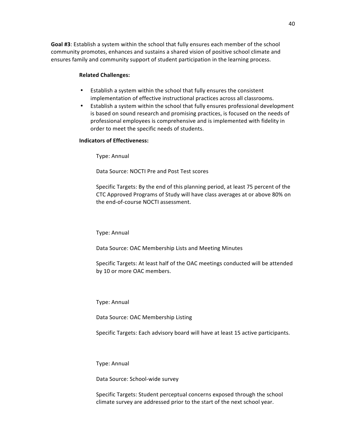Goal #3: Establish a system within the school that fully ensures each member of the school community promotes, enhances and sustains a shared vision of positive school climate and ensures family and community support of student participation in the learning process.

#### **Related Challenges:**

- Establish a system within the school that fully ensures the consistent implementation of effective instructional practices across all classrooms.
- Establish a system within the school that fully ensures professional development is based on sound research and promising practices, is focused on the needs of professional employees is comprehensive and is implemented with fidelity in order to meet the specific needs of students.

#### **Indicators of Effectiveness:**

Type: Annual

Data Source: NOCTI Pre and Post Test scores

Specific Targets: By the end of this planning period, at least 75 percent of the CTC Approved Programs of Study will have class averages at or above 80% on the end-of-course NOCTI assessment.

Type: Annual

Data Source: OAC Membership Lists and Meeting Minutes

Specific Targets: At least half of the OAC meetings conducted will be attended by 10 or more OAC members.

Type: Annual

Data Source: OAC Membership Listing

Specific Targets: Each advisory board will have at least 15 active participants.

Type: Annual

Data Source: School-wide survey

Specific Targets: Student perceptual concerns exposed through the school climate survey are addressed prior to the start of the next school year.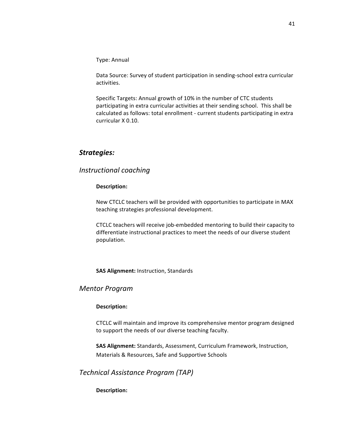Type: Annual

Data Source: Survey of student participation in sending-school extra curricular activities.

Specific Targets: Annual growth of 10% in the number of CTC students participating in extra curricular activities at their sending school. This shall be calculated as follows: total enrollment - current students participating in extra curricular X 0.10.

## *Strategies:*

## *Instructional coaching*

#### Description:

New CTCLC teachers will be provided with opportunities to participate in MAX teaching strategies professional development.

CTCLC teachers will receive job-embedded mentoring to build their capacity to differentiate instructional practices to meet the needs of our diverse student population.

**SAS Alignment: Instruction, Standards** 

## *Mentor Program*

#### Description:

CTCLC will maintain and improve its comprehensive mentor program designed to support the needs of our diverse teaching faculty.

**SAS Alignment:** Standards, Assessment, Curriculum Framework, Instruction, Materials & Resources, Safe and Supportive Schools

*Technical Assistance Program (TAP)*

**Description:**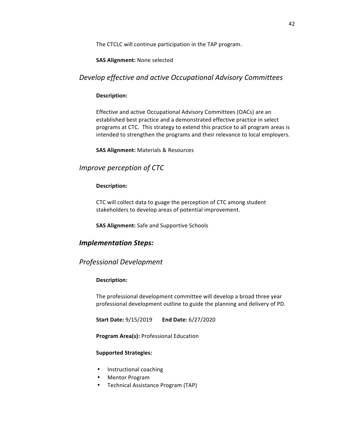The CTCLC will continue participation in the TAP program.

#### **SAS Alignment:** None selected

# *Develop effective and active Occupational Advisory Committees*

#### **Description:**

Effective and active Occupational Advisory Committees (OACs) are an established best practice and a demonstrated effective practice in select programs at CTC. This strategy to extend this practice to all program areas is intended to strengthen the programs and their relevance to local employers.

**SAS Alignment:** Materials & Resources

# *Improve perception of CTC*

#### Description:

CTC will collect data to guage the perception of CTC among student stakeholders to develop areas of potential improvement.

**SAS Alignment:** Safe and Supportive Schools

# *Implementation Steps:*

## *Professional Development*

## **Description:**

The professional development committee will develop a broad three year professional development outline to guide the planning and delivery of PD.

**Start Date:** 9/15/2019 End Date: 6/27/2020

**Program Area(s): Professional Education** 

## **Supported Strategies:**

- Instructional coaching
- Mentor Program
- Technical Assistance Program (TAP)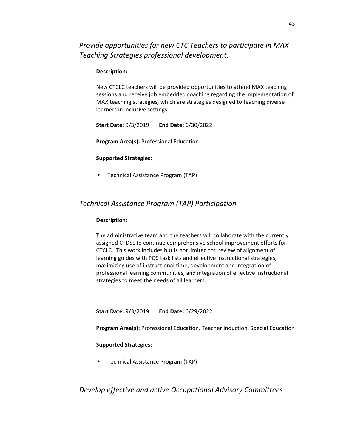*Provide opportunities for new CTC Teachers to participate in MAX Teaching Strategies professional development.*

#### Description:

New CTCLC teachers will be provided opportunities to attend MAX teaching sessions and receive job embedded coaching regarding the implementation of MAX teaching strategies, which are strategies designed to teaching diverse learners in inclusive settings.

**Start Date:** 9/3/2019 End Date: 6/30/2022

**Program Area(s): Professional Education** 

#### **Supported Strategies:**

• Technical Assistance Program (TAP)

# *Technical Assistance Program (TAP) Participation*

#### **Description:**

The administrative team and the teachers will collaborate with the currently assigned CTDSL to continue comprehensive school improvement efforts for CTCLC. This work includes but is not limited to: review of alignment of learning guides with POS task lists and effective instructional strategies, maximizing use of instructional time, development and integration of professional learning communities, and integration of effective instructional strategies to meet the needs of all learners.

**Start Date:** 9/3/2019 **End Date:** 6/29/2022

**Program Area(s):** Professional Education, Teacher Induction, Special Education

#### **Supported Strategies:**

• Technical Assistance Program (TAP)

*Develop effective and active Occupational Advisory Committees*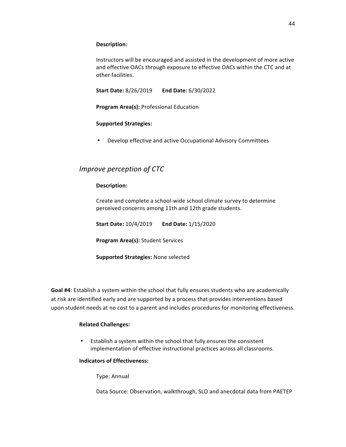#### **Description:**

Instructors will be encouraged and assisted in the development of more active and effective OACs through exposure to effective OACs within the CTC and at other facilities.

**Start Date:** 8/26/2019 End Date: 6/30/2022

**Program Area(s): Professional Education** 

## **Supported Strategies:**

• Develop effective and active Occupational Advisory Committees

# *Improve perception of CTC*

## **Description:**

Create and complete a school-wide school climate survey to determine perceived concerns among 11th and 12th grade students.

**Start Date:** 10/4/2019 End Date: 1/15/2020

**Program Area(s):** Student Services

**Supported Strategies: None selected** 

**Goal #4**: Establish a system within the school that fully ensures students who are academically at risk are identified early and are supported by a process that provides interventions based upon student needs at no cost to a parent and includes procedures for monitoring effectiveness.

## **Related Challenges:**

• Establish a system within the school that fully ensures the consistent implementation of effective instructional practices across all classrooms.

#### **Indicators of Effectiveness:**

Type: Annual

Data Source: Observation, walkthrough, SLO and anecdotal data from PAETEP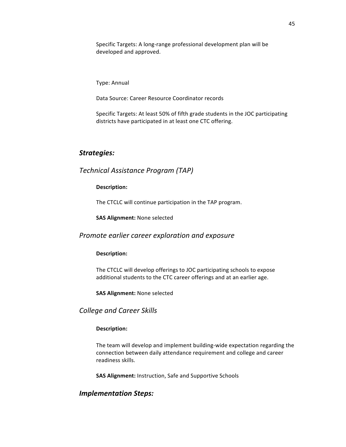Specific Targets: A long-range professional development plan will be developed and approved.

Type: Annual

Data Source: Career Resource Coordinator records

Specific Targets: At least 50% of fifth grade students in the JOC participating districts have participated in at least one CTC offering.

## *Strategies:*

# *Technical Assistance Program (TAP)*

#### Description:

The CTCLC will continue participation in the TAP program.

**SAS Alignment:** None selected

#### *Promote earlier career exploration and exposure*

#### **Description:**

The CTCLC will develop offerings to JOC participating schools to expose additional students to the CTC career offerings and at an earlier age.

**SAS Alignment: None selected** 

*College and Career Skills*

#### **Description:**

The team will develop and implement building-wide expectation regarding the connection between daily attendance requirement and college and career readiness skills.

**SAS Alignment:** Instruction, Safe and Supportive Schools

## *Implementation Steps:*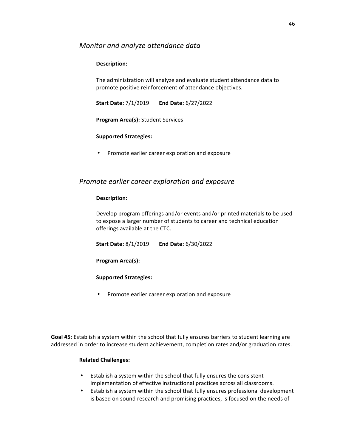## *Monitor and analyze attendance data*

## **Description:**

The administration will analyze and evaluate student attendance data to promote positive reinforcement of attendance objectives.

**Start Date:** 7/1/2019 **End Date:** 6/27/2022

**Program Area(s):** Student Services

## **Supported Strategies:**

• Promote earlier career exploration and exposure

## *Promote earlier career exploration and exposure*

#### **Description:**

Develop program offerings and/or events and/or printed materials to be used to expose a larger number of students to career and technical education offerings available at the CTC.

**Start Date:** 8/1/2019 **End Date:** 6/30/2022

**Program Area(s):** 

## **Supported Strategies:**

• Promote earlier career exploration and exposure

Goal #5: Establish a system within the school that fully ensures barriers to student learning are addressed in order to increase student achievement, completion rates and/or graduation rates.

## **Related Challenges:**

- Establish a system within the school that fully ensures the consistent implementation of effective instructional practices across all classrooms.
- Establish a system within the school that fully ensures professional development is based on sound research and promising practices, is focused on the needs of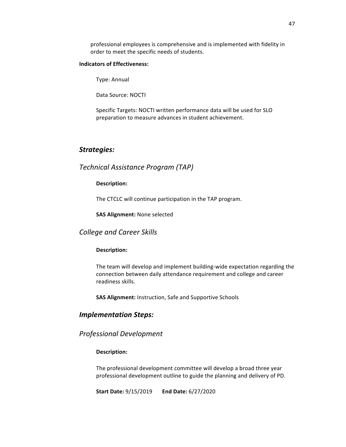professional employees is comprehensive and is implemented with fidelity in order to meet the specific needs of students.

#### **Indicators of Effectiveness:**

Type: Annual

Data Source: NOCTI

Specific Targets: NOCTI written performance data will be used for SLO preparation to measure advances in student achievement.

# *Strategies:*

## *Technical Assistance Program (TAP)*

#### Description:

The CTCLC will continue participation in the TAP program.

**SAS Alignment:** None selected

*College and Career Skills*

#### **Description:**

The team will develop and implement building-wide expectation regarding the connection between daily attendance requirement and college and career readiness skills.

**SAS Alignment:** Instruction, Safe and Supportive Schools

## *Implementation Steps:*

*Professional Development*

#### **Description:**

The professional development committee will develop a broad three year professional development outline to guide the planning and delivery of PD.

**Start Date:** 9/15/2019 End Date: 6/27/2020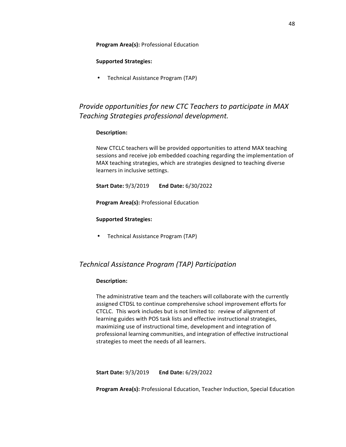#### **Program Area(s): Professional Education**

## **Supported Strategies:**

• Technical Assistance Program (TAP)

# *Provide opportunities for new CTC Teachers to participate in MAX Teaching Strategies professional development.*

#### Description:

New CTCLC teachers will be provided opportunities to attend MAX teaching sessions and receive job embedded coaching regarding the implementation of MAX teaching strategies, which are strategies designed to teaching diverse learners in inclusive settings.

**Start Date:**  $9/3/2019$  End Date:  $6/30/2022$ 

**Program Area(s): Professional Education** 

#### **Supported Strategies:**

• Technical Assistance Program (TAP)

# *Technical Assistance Program (TAP) Participation*

#### **Description:**

The administrative team and the teachers will collaborate with the currently assigned CTDSL to continue comprehensive school improvement efforts for CTCLC. This work includes but is not limited to: review of alignment of learning guides with POS task lists and effective instructional strategies, maximizing use of instructional time, development and integration of professional learning communities, and integration of effective instructional strategies to meet the needs of all learners.

**Start Date:** 9/3/2019 End Date: 6/29/2022

**Program Area(s):** Professional Education, Teacher Induction, Special Education